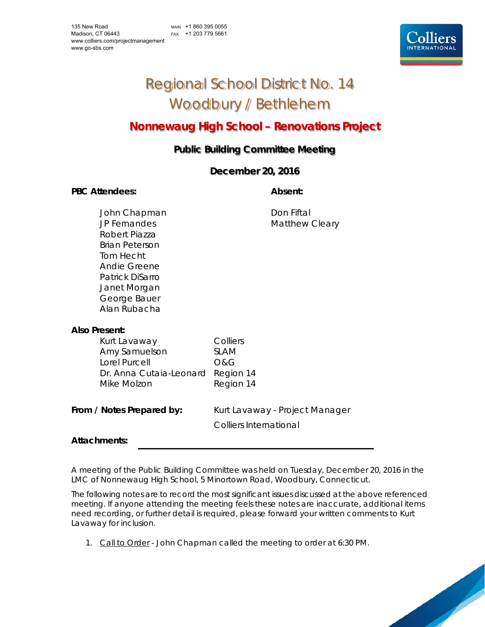# Regional School District No. 14 Woodbury / Bethlehem

# **Nonnewaug High School – Renovations Project**

# **Public Building Committee Meeting**

# **December 20, 2016**

### PBC Attendees: **Absent: Absent: Absent: Absent:**

John Chapman Don Fiftal JP Fernandes Matthew Cleary Robert Piazza Brian Peterson Tom Hecht Andie Greene Patrick DiSarro Janet Morgan George Bauer Alan Rubacha

# **Also Present:**

Kurt Lavaway Colliers Amy Samuelson SLAM Lorel Purcell **O&G**  Dr. Anna Cutaia-Leonard Region 14 Mike Molzon Region 14

**From / Notes Prepared by:** Kurt Lavaway - Project Manager Colliers International

# **Attachments:**

A meeting of the Public Building Committee was held on Tuesday, December 20, 2016 in the LMC of Nonnewaug High School, 5 Minortown Road, Woodbury, Connecticut.

The following notes are to record the most significant issues discussed at the above referenced meeting. If anyone attending the meeting feels these notes are inaccurate, additional items need recording, or further detail is required, please forward your written comments to Kurt Lavaway for inclusion.

1. Call to Order - John Chapman called the meeting to order at 6:30 PM.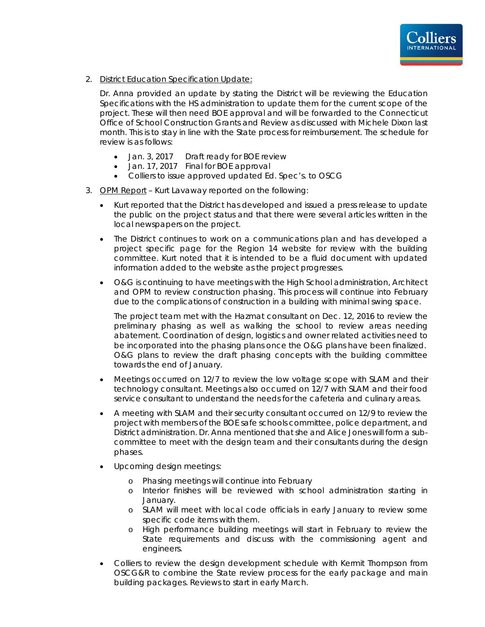

2. District Education Specification Update:

Dr. Anna provided an update by stating the District will be reviewing the Education Specifications with the HS administration to update them for the current scope of the project. These will then need BOE approval and will be forwarded to the Connecticut Office of School Construction Grants and Review as discussed with Michele Dixon last month. This is to stay in line with the State process for reimbursement. The schedule for review is as follows:

- Jan. 3, 2017 Draft ready for BOE review
- Jan. 17, 2017 Final for BOE approval
- Colliers to issue approved updated Ed. Spec's. to OSCG
- 3. OPM Report Kurt Lavaway reported on the following:
	- Kurt reported that the District has developed and issued a press release to update the public on the project status and that there were several articles written in the local newspapers on the project.
	- The District continues to work on a communications plan and has developed a project specific page for the Region 14 website for review with the building committee. Kurt noted that it is intended to be a fluid document with updated information added to the website as the project progresses.
	- O&G is continuing to have meetings with the High School administration, Architect and OPM to review construction phasing. This process will continue into February due to the complications of construction in a building with minimal swing space.

The project team met with the Hazmat consultant on Dec. 12, 2016 to review the preliminary phasing as well as walking the school to review areas needing abatement. Coordination of design, logistics and owner related activities need to be incorporated into the phasing plans once the O&G plans have been finalized. O&G plans to review the draft phasing concepts with the building committee towards the end of January.

- Meetings occurred on 12/7 to review the low voltage scope with SLAM and their technology consultant. Meetings also occurred on 12/7 with SLAM and their food service consultant to understand the needs for the cafeteria and culinary areas.
- A meeting with SLAM and their security consultant occurred on 12/9 to review the project with members of the BOE safe schools committee, police department, and District administration. Dr. Anna mentioned that she and Alice Jones will form a subcommittee to meet with the design team and their consultants during the design phases.
- Upcoming design meetings:
	- o Phasing meetings will continue into February
	- o Interior finishes will be reviewed with school administration starting in January.
	- o SLAM will meet with local code officials in early January to review some specific code items with them.
	- o High performance building meetings will start in February to review the State requirements and discuss with the commissioning agent and engineers.
- Colliers to review the design development schedule with Kermit Thompson from OSCG&R to combine the State review process for the early package and main building packages. Reviews to start in early March.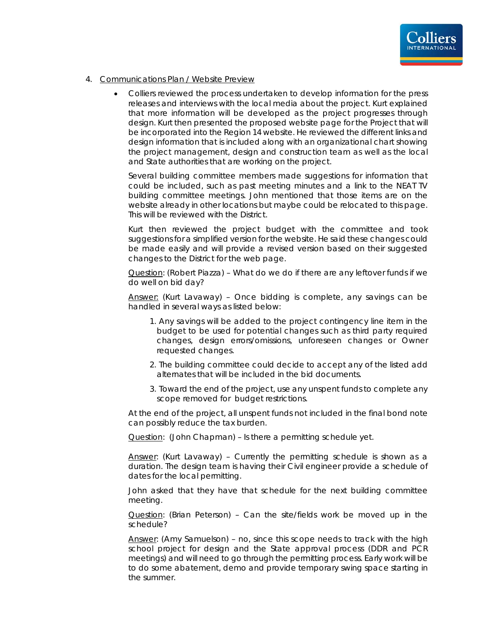

- 4. Communications Plan / Website Preview
	- Colliers reviewed the process undertaken to develop information for the press releases and interviews with the local media about the project. Kurt explained that more information will be developed as the project progresses through design. Kurt then presented the proposed website page for the Project that will be incorporated into the Region 14 website. He reviewed the different links and design information that is included along with an organizational chart showing the project management, design and construction team as well as the local and State authorities that are working on the project.

Several building committee members made suggestions for information that could be included, such as past meeting minutes and a link to the NEAT TV building committee meetings. John mentioned that those items are on the website already in other locations but maybe could be relocated to this page. This will be reviewed with the District.

Kurt then reviewed the project budget with the committee and took suggestions for a simplified version for the website. He said these changes could be made easily and will provide a revised version based on their suggested changes to the District for the web page.

Question: (Robert Piazza) – What do we do if there are any leftover funds if we do well on bid day?

Answer: (Kurt Lavaway) – Once bidding is complete, any savings can be handled in several ways as listed below:

- 1. Any savings will be added to the project contingency line item in the budget to be used for potential changes such as third party required changes, design errors/omissions, unforeseen changes or Owner requested changes.
- 2. The building committee could decide to accept any of the listed add alternates that will be included in the bid documents.
- 3. Toward the end of the project, use any unspent funds to complete any scope removed for budget restrictions.

At the end of the project, all unspent funds not included in the final bond note can possibly reduce the tax burden.

Question: (John Chapman) - Is there a permitting schedule yet.

Answer: (Kurt Lavaway) - Currently the permitting schedule is shown as a duration. The design team is having their Civil engineer provide a schedule of dates for the local permitting.

John asked that they have that schedule for the next building committee meeting.

Question: (Brian Peterson) – Can the site/fields work be moved up in the schedule?

Answer: (Amy Samuelson) – no, since this scope needs to track with the high school project for design and the State approval process (DDR and PCR meetings) and will need to go through the permitting process. Early work will be to do some abatement, demo and provide temporary swing space starting in the summer.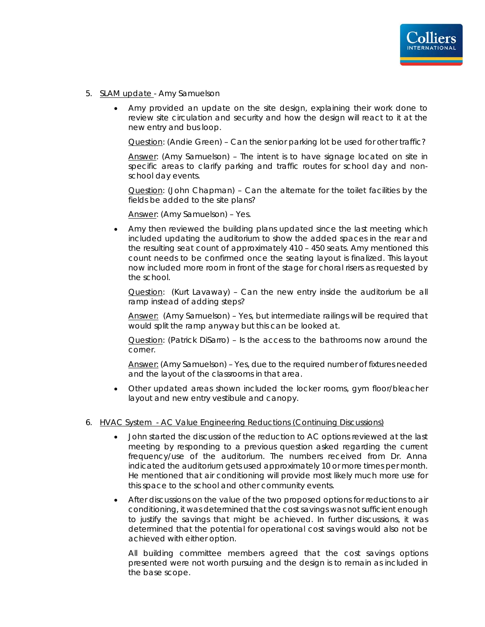- 5. SLAM update Amy Samuelson
	- Amy provided an update on the site design, explaining their work done to review site circulation and security and how the design will react to it at the new entry and bus loop.

Question: (Andie Green) – Can the senior parking lot be used for other traffic?

Answer: (Amy Samuelson) – The intent is to have signage located on site in specific areas to clarify parking and traffic routes for school day and nonschool day events.

Question: (John Chapman) – Can the alternate for the toilet facilities by the fields be added to the site plans?

Answer: (Amy Samuelson) – Yes.

 Amy then reviewed the building plans updated since the last meeting which included updating the auditorium to show the added spaces in the rear and the resulting seat count of approximately 410 – 450 seats. Amy mentioned this count needs to be confirmed once the seating layout is finalized. This layout now included more room in front of the stage for choral risers as requested by the school.

Question: (Kurt Lavaway) – Can the new entry inside the auditorium be all ramp instead of adding steps?

Answer: (Amy Samuelson) – Yes, but intermediate railings will be required that would split the ramp anyway but this can be looked at.

Question: (Patrick DiSarro) – Is the access to the bathrooms now around the corner.

Answer: (Amy Samuelson) – Yes, due to the required number of fixtures needed and the layout of the classrooms in that area.

 Other updated areas shown included the locker rooms, gym floor/bleacher layout and new entry vestibule and canopy.

### 6. HVAC System - AC Value Engineering Reductions (Continuing Discussions)

- John started the discussion of the reduction to AC options reviewed at the last meeting by responding to a previous question asked regarding the current frequency/use of the auditorium. The numbers received from Dr. Anna indicated the auditorium gets used approximately 10 or more times per month. He mentioned that air conditioning will provide most likely much more use for this space to the school and other community events.
- After discussions on the value of the two proposed options for reductions to air conditioning, it was determined that the cost savings was not sufficient enough to justify the savings that might be achieved. In further discussions, it was determined that the potential for operational cost savings would also not be achieved with either option.

All building committee members agreed that the cost savings options presented were not worth pursuing and the design is to remain as included in the base scope.